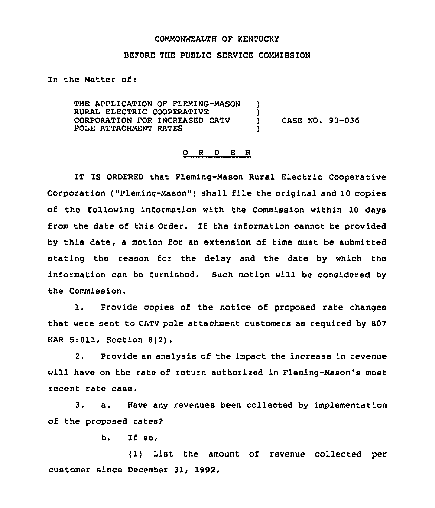## COMMONWEALTH OF KENTUCKY

## BEFORE THE PUBLIC SERVICE COMMISSION

In the Matter of:

THE APPLICATION OF FLEMING-MASON ) RURAL ELECTRIC COOPERATIVE  $\overrightarrow{)}$ <br>CORPORATION FOR INCREASED CATV  $\overrightarrow{)}$ CORPORATION FOR INCREASED CATV ) CASE NO. 93-036 POLE ATTACHMENT RATES

## 0 <sup>R</sup> <sup>D</sup> E R

IT IS ORDERED that Fleming-Mason Rural Electric Cooperative Corporation ("Fleming-Mason" ) shall file the original and <sup>10</sup> copies of the following information with the Commission within 10 days from the date of this Order. If the information cannot be provided by this date, a motion for an extension of time must be submitted stating the reason for the delay and the date by which the information can be furnished. Such motion will be considered by the Commission.

1. Provide copies of the notice of proposed rate changes that were sent to CATV pole attachment customers as required by 807 KAR 5:011, Section 8(2).

2. Provide an analysis of the impact the increase in revenue will have on the rate of return authorized in Fleming-Mason's most recent rate case.

3. a. Have any revenues been collected by implementation of the proposed rates?

b. If so,

(1) List the amount of revenue collected per customer since December 31, 1992.